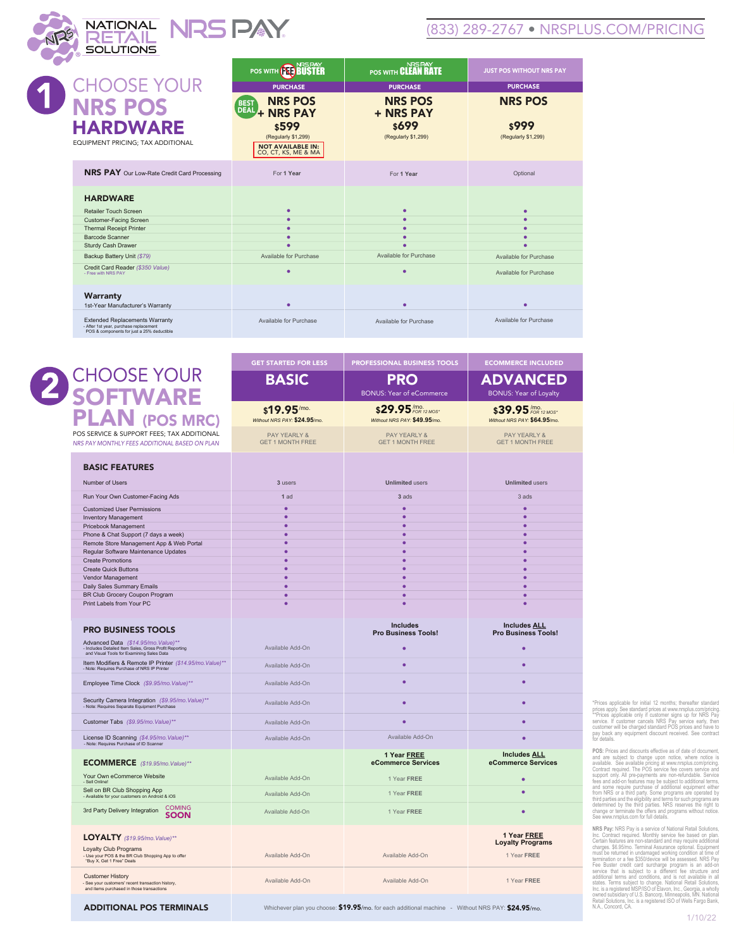#### (833) 289-2767 • NRSPLUS.COM/PRICING

*FOR 12 MOS\** /mo.

BONUS: Year of Loyalty

ECOMMERCE INCLUDED

|                                                                                                                               | <b>NRSPAY</b><br><b>POS WITH (NETRUS</b>                                              | NRS PAY<br><b>POS WITH CLEAN RATE</b> | <b>JUST POS WITHOUT NRS PAY</b> |
|-------------------------------------------------------------------------------------------------------------------------------|---------------------------------------------------------------------------------------|---------------------------------------|---------------------------------|
| <b>CHOOSE YOUR</b>                                                                                                            | <b>PURCHASE</b>                                                                       | <b>PURCHASE</b>                       | <b>PURCHASE</b>                 |
| <b>NRS POS</b>                                                                                                                | <b>NRS POS</b><br><b>BEST</b><br>DEAL+ NRS PAY                                        | <b>NRS POS</b><br>+ NRS PAY           | <b>NRS POS</b>                  |
| <b>HARDWARE</b><br>EQUIPMENT PRICING; TAX ADDITIONAL                                                                          | <b>s599</b><br>(Regularly \$1,299)<br><b>NOT AVAILABLE IN:</b><br>CO, CT, KS, ME & MA | \$699<br>(Regularly \$1,299)          | \$999<br>(Regularly \$1,299)    |
| <b>NRS PAY</b> Our Low-Rate Credit Card Processing                                                                            | For 1 Year                                                                            | For 1 Year                            | Optional                        |
| <b>HARDWARE</b>                                                                                                               |                                                                                       |                                       |                                 |
| Retailer Touch Screen                                                                                                         | ٠                                                                                     | ٠                                     | ٠                               |
| Customer-Facing Screen                                                                                                        |                                                                                       | ۰                                     |                                 |
| <b>Thermal Receipt Printer</b>                                                                                                |                                                                                       | ٠                                     |                                 |
| Barcode Scanner                                                                                                               |                                                                                       | ۰                                     |                                 |
| Sturdy Cash Drawer                                                                                                            |                                                                                       | ۰                                     |                                 |
| Backup Battery Unit (\$79)                                                                                                    | Available for Purchase                                                                | Available for Purchase                | Available for Purchase          |
| Credit Card Reader (\$350 Value)<br>- Free with NRS PAY                                                                       |                                                                                       | ٠                                     | Available for Purchase          |
| Warranty<br>1st-Year Manufacturer's Warranty                                                                                  |                                                                                       | ٠                                     |                                 |
| <b>Extended Replacements Warranty</b><br>- After 1st year, purchase replacement<br>POS & components for just a 25% deductible | Available for Purchase                                                                | Available for Purchase                | Available for Purchase          |
|                                                                                                                               |                                                                                       |                                       |                                 |

### CHOOSE YOUR  $\boldsymbol{2}$ **SOFTWARE** PLAN (POS MRC)

BATIONAL NRS PAY

RETAIL

| POS SERVICE & SUPPORT FEES; TAX ADDITIONAL<br>NRS PAY MONTHLY FEES ADDITIONAL BASED ON PLAN                                                | <b>PAY YEARLY &amp;</b><br><b>GET 1 MONTH FREE</b> | <b>PAY YEARLY &amp;</b><br><b>GET 1 MONTH FREE</b>                                                | <b>PAY YEARLY &amp;</b><br><b>GET 1 MONTH FREE</b> |
|--------------------------------------------------------------------------------------------------------------------------------------------|----------------------------------------------------|---------------------------------------------------------------------------------------------------|----------------------------------------------------|
|                                                                                                                                            |                                                    |                                                                                                   |                                                    |
| <b>BASIC FEATURES</b>                                                                                                                      |                                                    |                                                                                                   |                                                    |
| Number of Users                                                                                                                            | 3 users                                            | <b>Unlimited users</b>                                                                            | <b>Unlimited users</b>                             |
| Run Your Own Customer-Facing Ads                                                                                                           | 1 ad                                               | 3 ads                                                                                             | 3 ads                                              |
| <b>Customized User Permissions</b>                                                                                                         | $\bullet$                                          | $\bullet$                                                                                         | $\bullet$                                          |
| <b>Inventory Management</b>                                                                                                                | ٠                                                  | $\bullet$                                                                                         | $\bullet$                                          |
| Pricebook Management                                                                                                                       | ٠                                                  | $\bullet$                                                                                         | $\bullet$                                          |
| Phone & Chat Support (7 days a week)                                                                                                       | ٠                                                  | $\bullet$                                                                                         | $\bullet$                                          |
| Remote Store Management App & Web Portal                                                                                                   | ٠                                                  | $\bullet$                                                                                         | $\bullet$                                          |
| Regular Software Maintenance Updates                                                                                                       | ٠                                                  | $\bullet$                                                                                         | $\bullet$                                          |
| <b>Create Promotions</b>                                                                                                                   | ٠                                                  | $\bullet$                                                                                         | $\bullet$                                          |
| <b>Create Quick Buttons</b>                                                                                                                | ٠<br>٠                                             | $\bullet$<br>$\bullet$                                                                            | $\bullet$<br>$\bullet$                             |
| Vendor Management                                                                                                                          | ٠                                                  | $\bullet$                                                                                         | $\bullet$                                          |
| Daily Sales Summary Emails<br>BR Club Grocery Coupon Program                                                                               | ċ                                                  | ٠                                                                                                 | $\bullet$                                          |
| Print Labels from Your PC                                                                                                                  | ٠                                                  | $\bullet$                                                                                         | $\bullet$                                          |
|                                                                                                                                            |                                                    |                                                                                                   |                                                    |
| <b>PRO BUSINESS TOOLS</b>                                                                                                                  |                                                    | <b>Includes</b>                                                                                   | <b>Includes ALL</b>                                |
|                                                                                                                                            |                                                    | <b>Pro Business Tools!</b>                                                                        | <b>Pro Business Tools!</b>                         |
| Advanced Data (\$14.95/mo. Value)**<br>- Includes Detailed Item Sales, Gross Profit Reporting<br>and Visual Tools for Examining Sales Data | Available Add-On                                   | ٠                                                                                                 | $\bullet$                                          |
| Item Modifiers & Remote IP Printer (\$14.95/mo. Value)**<br>- Note: Requires Purchase of NRS IP Printer                                    | Available Add-On                                   | ٠                                                                                                 | ٠                                                  |
| Employee Time Clock (\$9.95/mo. Value)**                                                                                                   | Available Add-On                                   | ٠                                                                                                 | ۰                                                  |
| Security Camera Integration (\$9.95/mo. Value)**<br>- Note: Requires Separate Equipment Purchase                                           | Available Add-On                                   | ٠                                                                                                 | ٠                                                  |
| Customer Tabs (\$9.95/mo. Value)**                                                                                                         | Available Add-On                                   | ö                                                                                                 | ö                                                  |
| License ID Scanning (\$4.95/mo. Value)**<br>- Note: Requires Purchase of ID Scanner                                                        | Available Add-On                                   | Available Add-On                                                                                  | ٠                                                  |
| ECOMMERCE (\$19.95/mo. Value)**                                                                                                            |                                                    | 1 Year FREE<br>eCommerce Services                                                                 | <b>Includes ALL</b><br>eCommerce Services          |
| Your Own eCommerce Website<br>- Sell Online!                                                                                               | Available Add-On                                   | 1 Year FREE                                                                                       | $\bullet$                                          |
| Sell on BR Club Shopping App<br>- Available for your customers on Android & iOS                                                            | Available Add-On                                   | 1 Year FREE                                                                                       | ۰                                                  |
| <b>COMING</b><br>3rd Party Delivery Integration<br>SOON                                                                                    | Available Add-On                                   | 1 Year FREE                                                                                       | $\bullet$                                          |
| LOYALTY (\$19.95/mo. Value)**                                                                                                              |                                                    |                                                                                                   | 1 Year FREE                                        |
|                                                                                                                                            |                                                    |                                                                                                   | <b>Loyalty Programs</b>                            |
| Loyalty Club Programs<br>- Use your POS & the BR Club Shopping App to offer<br>"Buy X, Get 1 Free" Deals                                   | Available Add-On                                   | Available Add-On                                                                                  | 1 Year FREE                                        |
| <b>Customer History</b><br>- See your customers' recent transaction history,<br>and items purchased in those transactions                  | Available Add-On                                   | Available Add-On                                                                                  | 1 Year FREE                                        |
| <b>ADDITIONAL POS TERMINALS</b>                                                                                                            |                                                    | Whichever plan you choose: \$19.95/mo. for each additional machine - Without NRS PAY: \$24.95/mo. |                                                    |

**\$**19.95/mo. **\$**29.95 **\$**39.95 *FOR 12 MOS\** /mo.

*Without NRS PAY:* **\$24.95**/mo. *Without NRS PAY:* **\$49.95**/mo. *Without NRS PAY:* **\$64.95**/mo.

BASIC | PRO | ADVANCED BONUS: Year of eCommerce

> \*Prices applicable for initial 12 months; thereafter standard prices apply. See standard prices at www.nrsplus.com/pricing.<br>""Prices applicable only if customer signs up for NRS Pay<br>service. If customer cancels NRS Pay service early, then<br>customer will be charged standard POS prices

> **POS:** Prices and discounts effective as of date of document, awailable. See available pricing at www.msplus.comploring.<br>Contract required. The POS service concrete contract required. The POS service ere covers service and

NRS Pay: NRS Pay is a service of National Relati Solutions, the<br>Contract required. Monthly service fee based on plan.<br>Certain features are non-standard and may require additional<br>charges. \$6.95/mo. Terminal Assurance optio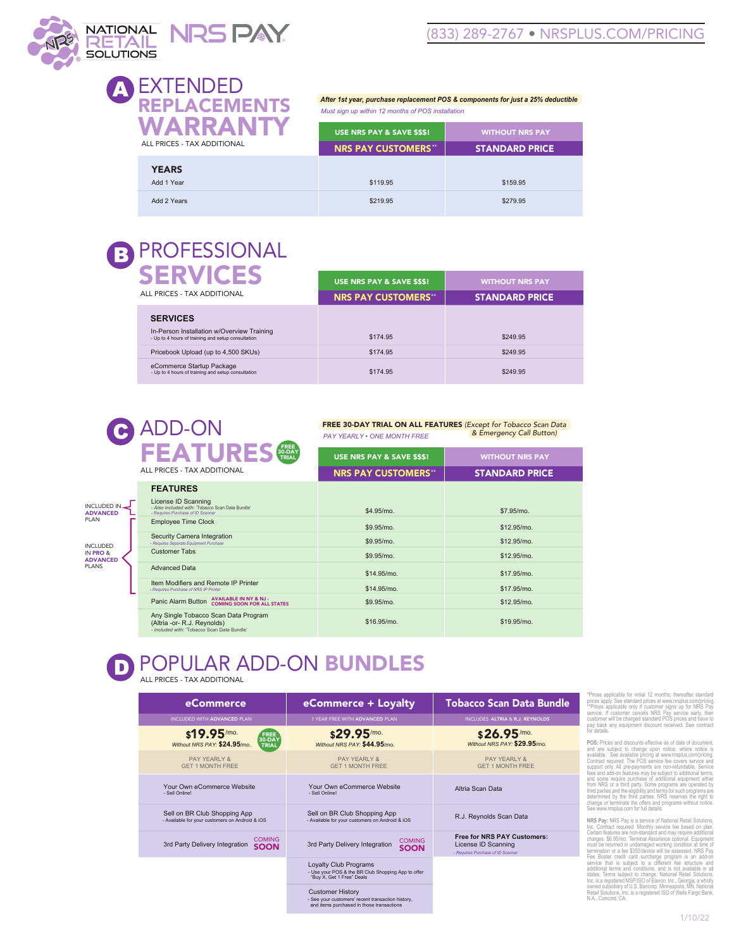

# EXTENDED REPLACEMENTS **WARR** ALL PRICES - TAX ADDIT

*After 1st year, purchase replacement POS & components for just a 25% deductible Must sign up within 12 months of POS installation*

| VARRAN<br>. PRICES - TAX ADDITIONAL | USE NRS PAY & SAVE \$\$\$!<br><b>NRS PAY CUSTOMERS**</b> | <b>WITHOUT NRS PAY</b><br><b>STANDARD PRICE</b> |
|-------------------------------------|----------------------------------------------------------|-------------------------------------------------|
| <b>YEARS</b><br>Add 1 Year          | \$119.95                                                 | \$159.95                                        |
| Add 2 Years                         | \$219.95                                                 | \$279.95                                        |

## PROFESSIONAL R

| <b>SERVICES</b><br>ALL PRICES - TAX ADDITIONAL                                                                      | USE NRS PAY & SAVE \$\$\$!<br><b>NRS PAY CUSTOMERS**</b> | <b>WITHOUT NRS PAY</b><br><b>STANDARD PRICE</b> |
|---------------------------------------------------------------------------------------------------------------------|----------------------------------------------------------|-------------------------------------------------|
| <b>SERVICES</b><br>In-Person Installation w/Overview Training<br>- Up to 4 hours of training and setup consultation | \$174.95                                                 | \$249.95                                        |
| Pricebook Upload (up to 4,500 SKUs)                                                                                 | \$174.95                                                 | \$249.95                                        |
| eCommerce Startup Package<br>- Up to 4 hours of training and setup consultation                                     | \$174.95                                                 | \$249.95                                        |

# C ADD-ON

INCLUDED IN PRO & ADVANCED **PLANS** 

INCLUDED IN ADVANCED PLAN

FREE 30-DAY TRIAL ON ALL FEATURES *(Except for Tobacco Scan Data & Emergency Call Button) PAY YEARLY • ONE MONTH FREE*

|  | FREE<br>30-DAY<br>TRIAL<br><b>FEATURES</b>                                                                         | USE NRS PAY & SAVE \$\$\$! | <b>WITHOUT NRS PAY</b> |
|--|--------------------------------------------------------------------------------------------------------------------|----------------------------|------------------------|
|  | ALL PRICES - TAX ADDITIONAL                                                                                        | <b>NRS PAY CUSTOMERS**</b> | <b>STANDARD PRICE</b>  |
|  | <b>FEATURES</b>                                                                                                    |                            |                        |
|  | License ID Scanning<br>- Also included with: 'Tobacco Scan Data Bundle'<br>- Requires Purchase of ID Scanner       | \$4.95/mo.                 | \$7.95/mo.             |
|  | <b>Employee Time Clock</b>                                                                                         | \$9.95/mo.                 | \$12.95/mo.            |
|  | Security Camera Integration<br>- Requires Separate Equipment Purchase                                              | \$9.95/mo.                 | \$12.95/mo.            |
|  | <b>Customer Tabs</b>                                                                                               | \$9.95/mo.                 | \$12.95/mo.            |
|  | <b>Advanced Data</b>                                                                                               | \$14.95/mo.                | \$17.95/mo.            |
|  | Item Modifiers and Remote IP Printer<br>- Requires Purchase of NRS IP Printer                                      | \$14.95/mo.                | \$17.95/mo.            |
|  | <b>AVAILABLE IN NY &amp; NJ -</b><br>Panic Alarm Button<br><b>COMING SOON FOR ALL STATES</b>                       | \$9.95/mo.                 | \$12.95/mo.            |
|  | Any Single Tobacco Scan Data Program<br>(Altria -or- R.J. Reynolds)<br>- Included with: 'Tobacco Scan Data Bundle' | \$16.95/mo.                | \$19.95/mo.            |

# POPULAR ADD-ON BUNDLES

ALL PRICES - TAX ADDITIONAL

| eCommerce                                                                       | eCommerce + Loyalty                                                                                                       | <b>Tobacco Scan Data Bundle</b>                                                                |  |
|---------------------------------------------------------------------------------|---------------------------------------------------------------------------------------------------------------------------|------------------------------------------------------------------------------------------------|--|
| INCLUDED WITH ADVANCED PLAN                                                     | 1 YEAR FREE WITH ADVANCED PLAN                                                                                            | INCLUDES ALTRIA & R.J. REYNOLDS                                                                |  |
| $$19.95$ /mo.<br><b>FREE</b><br>30-DAY<br>Without NRS PAY: \$24.95/mo.<br>TRIAL | \$29.95/mo.<br>Without NRS PAY: \$44.95/mo.                                                                               | \$26.95/mo.<br>Without NRS PAY: \$29.95/mo.                                                    |  |
| PAY YFARI Y &<br><b>GFT 1 MONTH FREE</b>                                        | PAY YFARI Y &<br><b>GFT 1 MONTH FREE</b>                                                                                  | PAY YEARI Y &<br><b>GFT 1 MONTH FREE</b>                                                       |  |
| Your Own eCommerce Website<br>- Sell Online!                                    | Your Own eCommerce Website<br>- Sell Online!                                                                              | Altria Scan Data                                                                               |  |
| Sell on BR Club Shopping App<br>- Available for your customers on Android & iOS | Sell on BR Club Shopping App<br>- Available for your customers on Android & iOS                                           | R.J. Reynolds Scan Data                                                                        |  |
| <b>COMING</b><br>3rd Party Delivery Integration<br><b>SOON</b>                  | <b>COMING</b><br>3rd Party Delivery Integration<br><b>SOON</b>                                                            | <b>Free for NRS PAY Customers:</b><br>License ID Scanning<br>- Requires Purchase of ID Scanner |  |
|                                                                                 | Loyalty Club Programs<br>- Use your POS & the BR Club Shopping App to offer<br>"Buv X. Get 1 Free" Deals                  |                                                                                                |  |
|                                                                                 | <b>Customer History</b><br>- See your customers' recent transaction history,<br>and items purchased in those transactions |                                                                                                |  |

"Prices applicable for initial 12 months; thereafter standard<br>prices apply. See standard prices at www.nrsplus.com/pricing.<br>""Prices applicable only if customer signs up for NRS Pay<br>service. If customer cancels NRS Pay ser or details.

**POS:** Prices and discounts effective as of date of document, a<br>and are subject to change upon notice, where notice is<br>Contract required. The POS service measurements comprisions constant<br>conduct contract required. The POS

**NRS Pay:** NRS Pay is a service of National Retail Solutions, the<br>Cochical Central central of the based on plan.<br>Central features are non-standard and may require additional<br>charges. \$6.95/mo. Terminal Assurance optional.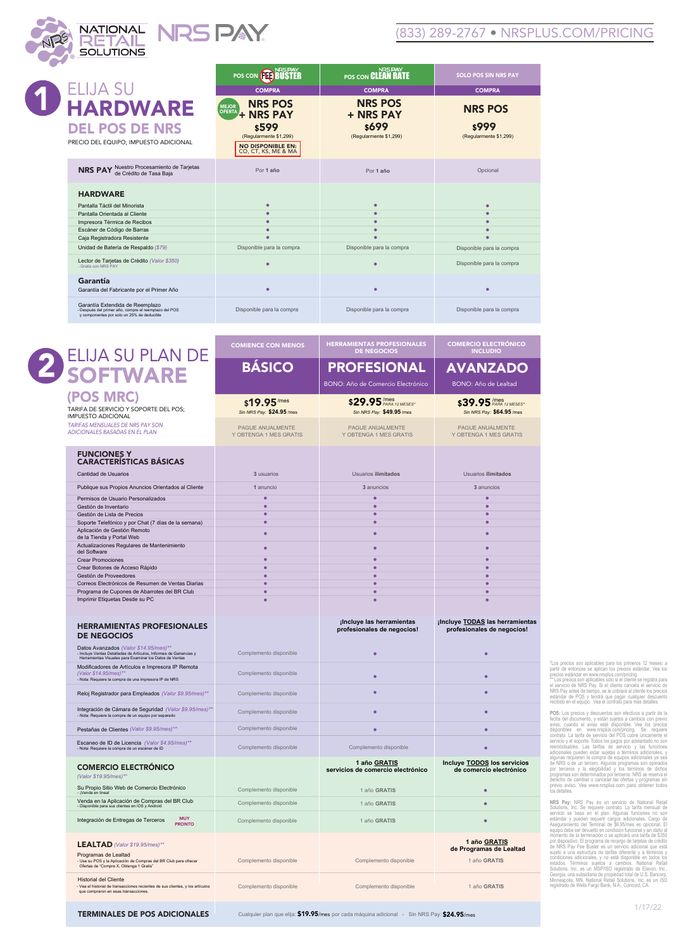

### (833) 289-2767 • NRSPLUS.COM/PRICING

|                                                                                                                                        | <b>NRSPAY</b><br>POS CON ( <b>NET) BUSTER</b>                             | <b>NRSPAY</b><br>POS CON CLEAN RATE  | <b>SOLO POS SIN NRS PAY</b> |
|----------------------------------------------------------------------------------------------------------------------------------------|---------------------------------------------------------------------------|--------------------------------------|-----------------------------|
| <b>ELIJA SU</b>                                                                                                                        | <b>COMPRA</b>                                                             | <b>COMPRA</b>                        | <b>COMPRA</b>               |
| <b>HARDWARE</b><br><b>DEL POS DE NRS</b>                                                                                               | <b>NRS POS</b><br><b>MEJOR</b><br>OFERTA + NRS PAY<br><b>s599</b>         | <b>NRS POS</b><br>+ NRS PAY<br>\$699 | <b>NRS POS</b><br>\$999     |
| PRECIO DEL EQUIPO; IMPUESTO ADICIONAL                                                                                                  | (Regularmente \$1,299)<br><b>NO DISPONIBLE EN:</b><br>CO, CT, KS, ME & MA | (Regularmente \$1,299)               | (Regularmente \$1,299)      |
| Nuestro Procesamiento de Tarjetas<br>de Crédito de Tasa Baja<br><b>NRS PAY</b>                                                         | Por 1 año                                                                 | Por 1 año                            | Opcional                    |
| <b>HARDWARE</b>                                                                                                                        |                                                                           |                                      |                             |
| Pantalla Táctil del Minorista                                                                                                          |                                                                           | ٠                                    | ٠                           |
| Pantalla Orientada al Cliente                                                                                                          | ٠                                                                         | ٠                                    | ٠                           |
| Impresora Térmica de Recibos                                                                                                           | ٠                                                                         | ٠                                    | ٠                           |
| Escáner de Código de Barras                                                                                                            |                                                                           | ٠                                    | ٠                           |
| Caja Registradora Resistente                                                                                                           |                                                                           |                                      |                             |
| Unidad de Batería de Respaldo (\$79)                                                                                                   | Disponible para la compra                                                 | Disponible para la compra            | Disponible para la compra   |
| Lector de Tarjetas de Crédito (Valor \$350)<br>- Gratis con NRS PAY                                                                    |                                                                           | ۰                                    | Disponible para la compra   |
| Garantía<br>Garantía del Fabricante por el Primer Año                                                                                  |                                                                           | ٠                                    | ٠                           |
| Garantía Extendida de Reemplazo<br>- Después del primer año, compre el reemplazo del POS<br>y componentes por solo un 25% de deducible | Disponible para la compra                                                 | Disponible para la compra            | Disponible para la compra   |
|                                                                                                                                        |                                                                           |                                      |                             |

|                                                                                                                                                                                  | <b>COMIENCE CON MENOS</b>                  | <b>HERRAMIENTAS PROFESIONALES</b>                       | <b>COMERCIO ELECTRÓNICO</b>                                        |
|----------------------------------------------------------------------------------------------------------------------------------------------------------------------------------|--------------------------------------------|---------------------------------------------------------|--------------------------------------------------------------------|
|                                                                                                                                                                                  |                                            | <b>DE NEGOCIOS</b>                                      | <b>INCLUDIO</b>                                                    |
| ELIJA SU PLAN DE                                                                                                                                                                 | <b>BÁSICO</b>                              | <b>PROFESIONAL</b><br>BONO: Año de Comercio Electrónico | <b>AVANZADO</b><br>BONO: Año de Lealtad                            |
| (POS MRC)<br>TARIFA DE SERVICIO Y SOPORTE DEL POS:                                                                                                                               | \$19.95/mes                                | \$29.95/mes                                             | \$39.95 /mes                                                       |
| <b>IMPUESTO ADICIONAL</b>                                                                                                                                                        | Sin NRS Pay: \$24.95 /mes                  | Sin NRS Pay: \$49.95/mes                                | Sin NRS Pay: \$64.95/mes                                           |
| TARIFAS MENSUALES DE NRS PAY SON<br>ADICIONALES BASADAS EN EL PLAN                                                                                                               | PAGUE ANUALMENTE<br>Y OBTENGA 1 MES GRATIS | PAGUE ANUALMENTE<br>Y OBTENGA 1 MES GRATIS              | PAGUE ANUALMENTE<br>Y OBTENGA 1 MES GRATIS                         |
| <b>FUNCIONES Y</b><br><b>CARACTERÍSTICAS BÁSICAS</b>                                                                                                                             |                                            |                                                         |                                                                    |
| Cantidad de Usuarios                                                                                                                                                             | 3 usuarios                                 | Usuarios ilimitados                                     | Usuarios ilimitados                                                |
| Publique sus Propios Anuncios Orientados al Cliente                                                                                                                              | 1 anuncio                                  | 3 anuncios                                              | 3 anuncios                                                         |
| Permisos de Usuario Personalizados                                                                                                                                               |                                            | ٠                                                       | ٠                                                                  |
| Gestión de Inventario                                                                                                                                                            | ٠                                          | ٠                                                       | ٠                                                                  |
| Gestión de Lista de Precios                                                                                                                                                      | ٠                                          | ٠                                                       | ٠                                                                  |
| Soporte Telefónico y por Chat (7 días de la semana)                                                                                                                              | ٠                                          | $\bullet$                                               | $\bullet$                                                          |
| Aplicación de Gestión Remoto                                                                                                                                                     | ٠                                          | $\bullet$                                               | $\bullet$                                                          |
| de la Tienda y Portal Web<br>Actualizaciones Regulares de Mantenimiento                                                                                                          |                                            |                                                         |                                                                    |
| del Software                                                                                                                                                                     | ٠                                          | $\bullet$                                               | $\bullet$                                                          |
| <b>Crear Promociones</b>                                                                                                                                                         |                                            | $\bullet$                                               | $\bullet$                                                          |
| Crear Botones de Acceso Rápido                                                                                                                                                   |                                            | $\bullet$                                               | $\bullet$                                                          |
| Gestión de Proveedores                                                                                                                                                           | ٠                                          | ٠                                                       | ٠                                                                  |
| Correos Electrónicos de Resumen de Ventas Diarias                                                                                                                                |                                            | ۰                                                       | ۰                                                                  |
| Programa de Cupones de Abarrotes del BR Club                                                                                                                                     |                                            | ۰                                                       | ۰                                                                  |
| Imprimir Etiquetas Desde su PC                                                                                                                                                   |                                            | $\bullet$                                               | ۰                                                                  |
| <b>DE NEGOCIOS</b><br>Datos Avanzados (Valor \$14.95/mes)**                                                                                                                      |                                            | profesionales de negocios!                              | profesionales de negocios!                                         |
| - Incluye Ventas Detalladas de Artículos, Informes de Ganancias y<br>Herramientas Visuales para Examinar los Datos de Ventas<br>Modificadores de Artículos e Impresora IP Remota | Complemento disponible                     | $\bullet$                                               |                                                                    |
| (Valor \$14.95/mes)*<br>- Nota: Requiere la compra de una impresora IP de NRS                                                                                                    | Complemento disponible                     | $\bullet$                                               |                                                                    |
| Reloj Registrador para Empleados (Valor \$9.95/mes)**                                                                                                                            | Complemento disponible                     | $\bullet$                                               |                                                                    |
| Integración de Cámara de Seguridad (Valor \$9.95/mes)**<br>- Nota: Requiere la compra de un equipo por separado                                                                  | Complemento disponible                     | $\bullet$                                               | $\bullet$                                                          |
|                                                                                                                                                                                  |                                            |                                                         |                                                                    |
| Pestañas de Clientes (Valor \$9.95/mes)**                                                                                                                                        | Complemento disponible                     | $\bullet$                                               | $\bullet$                                                          |
| Escaneo de ID de Licencia (Valor \$4.95/mes)**<br>- Nota: Requiere la compra de un escáner de ID                                                                                 | Complemento disponible                     | Complemento disponible                                  |                                                                    |
| <b>COMERCIO ELECTRÓNICO</b><br>(Valor \$19.95/mes)**                                                                                                                             |                                            | 1 año GRATIS<br>servicios de comercio electrónico       |                                                                    |
| Su Propio Sitio Web de Comercio Electrónico                                                                                                                                      | Complemento disponible                     | 1 año GRATIS                                            | Incluye <b>TODOS</b> los servicios<br>de comercio electrónico<br>٠ |
| Venda en la Aplicación de Compras del BR Club                                                                                                                                    | Complemento disponible                     | 1 año GRATIS                                            |                                                                    |
| us clientes en iOS y Android<br><b>MUY</b><br>Integración de Entregas de Terceros<br><b>PRONTO</b>                                                                               | Complemento disponible                     | 1 año GRATIS                                            |                                                                    |
| LEALTAD (Valor \$19.95/mes)**<br>Programas de Lealtad<br>- Use su POS y la Aplicación de Compras del BR Club para ofrecer<br>Ofertas de "Compre X, Obtenga 1 Gratis"             | Complemento disponible                     | Complemento disponible                                  | 1 año GRATIS<br>de Programas de Lealtad<br>1 año GRATIS            |

TERMINALES DE POS ADICIONALES **Cualquier plan que elija: \$19.95/mes por** cada máquina adicional - Sin NRS Pay: \$24.95/mes

"Los precios son aplicables para los primeros 12 meses; a<br>partir de entonces se aplican los precios estándar. Vea los<br>precios estándar en unwurreplus.com/pricing.<br>" Los precios son aplicables solos si el cliente are regist

**POS:** Los precios y descuentos son efectivos a partir de la<br>ciencia del documento, y están sujeitos a cambios con previo<br>sisponibles en vew metals disponible. Vea los precios disponibles en vew metals complimiting. Se req

NRS Pay: NRS Pay es un servicio de National Rebil<br>Solutions, Inc. Se requiere contrato. La tarifa mensual de<br>estàndar y pueden requiere contrato. La tarifa mensual de<br>estàndar y pueden requeire cargos adicionales. Cargo de